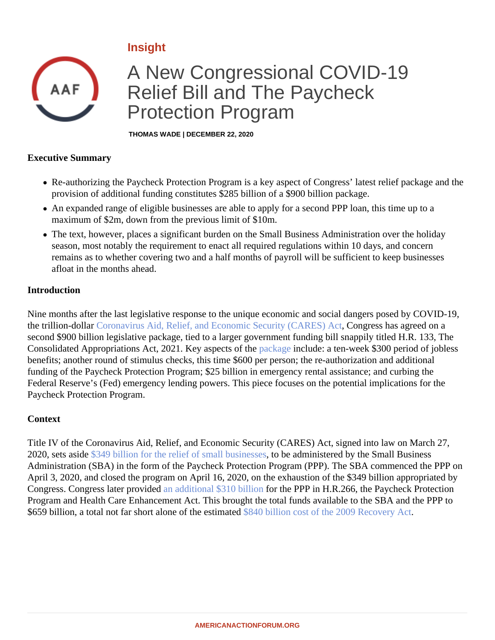# Insight

# A New Congressional COVID-19 Relief Bill and The Paycheck Protection Program

THOMAS WADE | DECEMBER 22, 2020

#### Executive Summary

- Re-authorizing the Paycheck Protection Program is a key aspect of Congress' latest relief package and provision of additional funding constitutes \$285 billion of a \$900 billion package.
- An expanded range of eligible businesses are able to apply for a second PPP loan, this time up to a maximum of \$2m, down from the previous limit of \$10m.
- The text, however, places a significant burden on the Small Business Administration over the holiday season, most notably the requirement to enact all required regulations within 10 days, and concern remains as to whether covering two and a half months of payroll will be sufficient to keep businesses afloat in the months ahead.

#### Introduction

Nine months after the last legislative response to the unique economic and social dangers posed by COVID-19, the trillion-dollar [Coronavirus Aid, Relief, and Economic Security \(CARES\)](�� h t t p s : / / w w w . c o n g r e s s . g o v / b i l l / 1 1 6 t h - c o n g r e s s / h o u s e - b i l l / 7 4 8 / t e x t), Congress has agreed on a second \$900 billion legislative package, tied to a larger government funding bill snappily titled H.R. 133, The Consolidated Appropriations Act, 2021. Key aspects opthe agenclude: a ten-week \$300 period of jobless benefits; another round of stimulus checks, this time \$600 per person; the re-authorization and additional funding of the Paycheck Protection Program; \$25 billion in emergency rental assistance; and curbing the Federal Reserve's (Fed) emergency lending powers. This piece focuses on the potential implications for the Paycheck Protection Program.

### **Context**

Title IV of the Coronavirus Aid, Relief, and Economic Security (CARES) Act, signed into law on March 27, 2020, sets asid8349 billion for the relief of small businessto be administered by the Small Business Administration (SBA) in the form of the Paycheck Protection Program (PPP). The SBA commenced the PPP on April 3, 2020, and closed the program on April 16, 2020, on the exhaustion of the \$349 billion appropriated by Congress. Congress later provided additional \$310 billion for the PPP in H.R.266, the Paycheck Protection Program and Health Care Enhancement Act. This brought the total funds available to the SBA and the PPP to \$659 billion, a total not far short alone of the estimated billion cost of the 2009 Recovery Act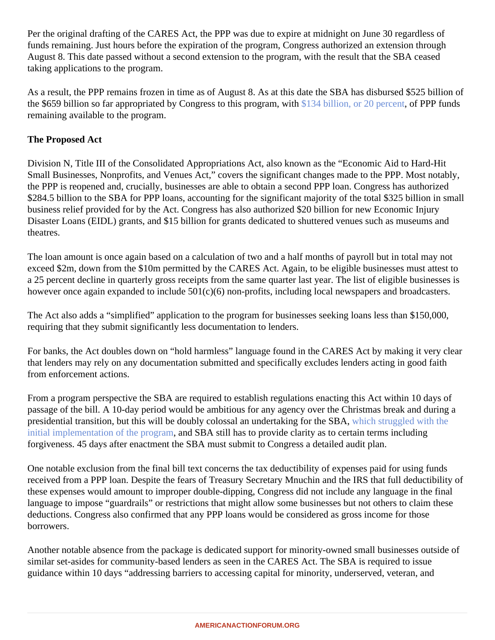Per the original drafting of the CARES Act, the PPP was due to expire at midnight on June 30 regardless of funds remaining. Just hours before the expiration of the program, Congress authorized an extension through August 8. This date passed without a second extension to the program, with the result that the SBA ceased taking applications to the program.

As a result, the PPP remains frozen in time as of August 8. As at this date the SBA has disbursed \$525 billion the \$659 billion so far appropriated by Congress to this program \$ with billion, or 20 percent PPP funds remaining available to the program.

# The Proposed Act

Division N, Title III of the Consolidated Appropriations Act, also known as the "Economic Aid to Hard-Hit Small Businesses, Nonprofits, and Venues Act," covers the significant changes made to the PPP. Most notably the PPP is reopened and, crucially, businesses are able to obtain a second PPP loan. Congress has authorized \$284.5 billion to the SBA for PPP loans, accounting for the significant majority of the total \$325 billion in smal business relief provided for by the Act. Congress has also authorized \$20 billion for new Economic Injury Disaster Loans (EIDL) grants, and \$15 billion for grants dedicated to shuttered venues such as museums and theatres.

The loan amount is once again based on a calculation of two and a half months of payroll but in total may not exceed \$2m, down from the \$10m permitted by the CARES Act. Again, to be eligible businesses must attest to a 25 percent decline in quarterly gross receipts from the same quarter last year. The list of eligible businesses however once again expanded to include 501(c)(6) non-profits, including local newspapers and broadcasters.

The Act also adds a "simplified" application to the program for businesses seeking loans less than \$150,000, requiring that they submit significantly less documentation to lenders.

For banks, the Act doubles down on "hold harmless" language found in the CARES Act by making it very clear that lenders may rely on any documentation submitted and specifically excludes lenders acting in good faith from enforcement actions.

From a program perspective the SBA are required to establish regulations enacting this Act within 10 days of passage of the bill. A 10-day period would be ambitious for any agency over the Christmas break and during presidential transition, but this will be doubly colossal an undertaking for the SBA, struggled with the [initial implementation of the progra](�� h t t p s : / / w w w . a m e r i c a n a c t i o n f o r u m . o r g / i n s i g h t / o p e r a t i o n a l i z i n g - s m a l l - b u s i n e s s - e m e r g e n c y - l o a n - r e l i e f /)med SBA still has to provide clarity as to certain terms including forgiveness. 45 days after enactment the SBA must submit to Congress a detailed audit plan.

One notable exclusion from the final bill text concerns the tax deductibility of expenses paid for using funds received from a PPP loan. Despite the fears of Treasury Secretary Mnuchin and the IRS that full deductibility these expenses would amount to improper double-dipping, Congress did not include any language in the final language to impose "guardrails" or restrictions that might allow some businesses but not others to claim these deductions. Congress also confirmed that any PPP loans would be considered as gross income for those borrowers.

Another notable absence from the package is dedicated support for minority-owned small businesses outside similar set-asides for community-based lenders as seen in the CARES Act. The SBA is required to issue guidance within 10 days "addressing barriers to accessing capital for minority, underserved, veteran, and